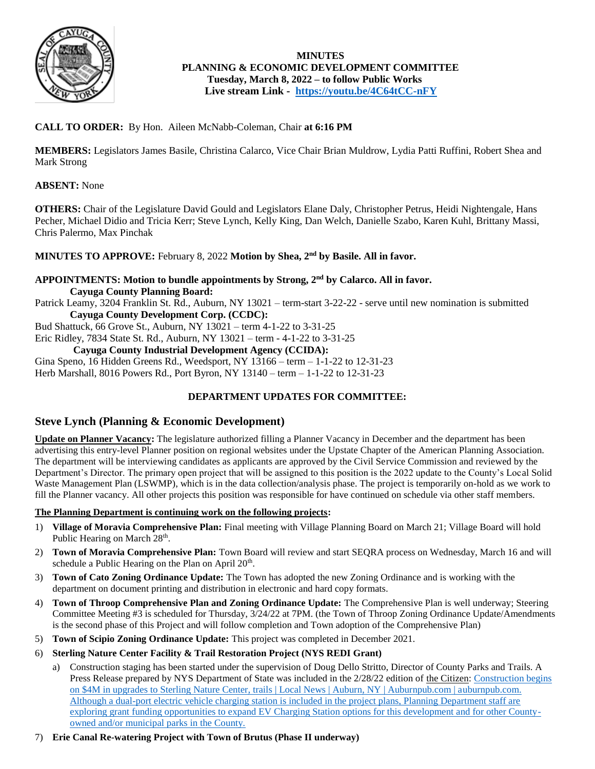

# **MINUTES PLANNING & ECONOMIC DEVELOPMENT COMMITTEE Tuesday, March 8, 2022 – to follow Public Works Live stream Link - <https://youtu.be/4C64tCC-nFY>**

# **CALL TO ORDER:** By Hon. Aileen McNabb-Coleman, Chair **at 6:16 PM**

**MEMBERS:** Legislators James Basile, Christina Calarco, Vice Chair Brian Muldrow, Lydia Patti Ruffini, Robert Shea and Mark Strong

# **ABSENT:** None

**OTHERS:** Chair of the Legislature David Gould and Legislators Elane Daly, Christopher Petrus, Heidi Nightengale, Hans Pecher, Michael Didio and Tricia Kerr; Steve Lynch, Kelly King, Dan Welch, Danielle Szabo, Karen Kuhl, Brittany Massi, Chris Palermo, Max Pinchak

# **MINUTES TO APPROVE:** February 8, 2022 **Motion by Shea, 2nd by Basile. All in favor.**

# **APPOINTMENTS: Motion to bundle appointments by Strong, 2nd by Calarco. All in favor. Cayuga County Planning Board:**

Patrick Leamy, 3204 Franklin St. Rd., Auburn, NY 13021 – term-start 3-22-22 - serve until new nomination is submitted **Cayuga County Development Corp. (CCDC):**

Bud Shattuck, 66 Grove St., Auburn, NY 13021 – term 4-1-22 to 3-31-25

Eric Ridley, 7834 State St. Rd., Auburn, NY 13021 – term - 4-1-22 to 3-31-25

# **Cayuga County Industrial Development Agency (CCIDA):**

Gina Speno, 16 Hidden Greens Rd., Weedsport, NY 13166 – term – 1-1-22 to 12-31-23 Herb Marshall, 8016 Powers Rd., Port Byron, NY 13140 – term – 1-1-22 to 12-31-23

# **DEPARTMENT UPDATES FOR COMMITTEE:**

# **Steve Lynch (Planning & Economic Development)**

**Update on Planner Vacancy:** The legislature authorized filling a Planner Vacancy in December and the department has been advertising this entry-level Planner position on regional websites under the Upstate Chapter of the American Planning Association. The department will be interviewing candidates as applicants are approved by the Civil Service Commission and reviewed by the Department's Director. The primary open project that will be assigned to this position is the 2022 update to the County's Local Solid Waste Management Plan (LSWMP), which is in the data collection/analysis phase. The project is temporarily on-hold as we work to fill the Planner vacancy. All other projects this position was responsible for have continued on schedule via other staff members.

# **The Planning Department is continuing work on the following projects:**

- 1) **Village of Moravia Comprehensive Plan:** Final meeting with Village Planning Board on March 21; Village Board will hold Public Hearing on March 28<sup>th</sup>.
- 2) **Town of Moravia Comprehensive Plan:** Town Board will review and start SEQRA process on Wednesday, March 16 and will schedule a Public Hearing on the Plan on April  $20<sup>th</sup>$ .
- 3) **Town of Cato Zoning Ordinance Update:** The Town has adopted the new Zoning Ordinance and is working with the department on document printing and distribution in electronic and hard copy formats.
- 4) **Town of Throop Comprehensive Plan and Zoning Ordinance Update:** The Comprehensive Plan is well underway; Steering Committee Meeting #3 is scheduled for Thursday, 3/24/22 at 7PM. (the Town of Throop Zoning Ordinance Update/Amendments is the second phase of this Project and will follow completion and Town adoption of the Comprehensive Plan)
- 5) **Town of Scipio Zoning Ordinance Update:** This project was completed in December 2021.
- 6) **Sterling Nature Center Facility & Trail Restoration Project (NYS REDI Grant)**
	- a) Construction staging has been started under the supervision of Doug Dello Stritto, Director of County Parks and Trails. A Press Release prepared by NYS Department of State was included in the 2/28/22 edition of the Citizen: Construction begins [on \\$4M in upgrades to Sterling Nature Center, trails | Local News | Auburn, NY | Auburnpub.com | auburnpub.com.](https://auburnpub.com/news/local/construction-begins-on-4m-in-upgrades-to-sterling-nature-center-trails/article_2fe45b1c-732d-50b2-88a7-0e29ef0ee1e8.html)  Although a dual-port electric vehicle charging station is included in the project plans, Planning Department staff are exploring grant funding opportunities to expand EV Charging Station options for this development and for other Countyowned and/or municipal parks in the County.
- 7) **Erie Canal Re-watering Project with Town of Brutus (Phase II underway)**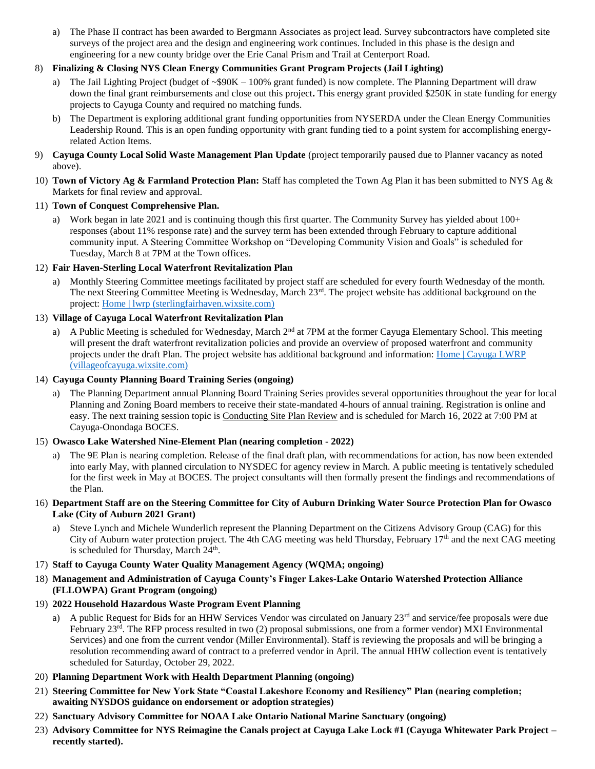a) The Phase II contract has been awarded to Bergmann Associates as project lead. Survey subcontractors have completed site surveys of the project area and the design and engineering work continues. Included in this phase is the design and engineering for a new county bridge over the Erie Canal Prism and Trail at Centerport Road.

# 8) **Finalizing & Closing NYS Clean Energy Communities Grant Program Projects (Jail Lighting)**

- a) The Jail Lighting Project (budget of  $\sim$ \$90K 100% grant funded) is now complete. The Planning Department will draw down the final grant reimbursements and close out this project**.** This energy grant provided \$250K in state funding for energy projects to Cayuga County and required no matching funds.
- b) The Department is exploring additional grant funding opportunities from NYSERDA under the Clean Energy Communities Leadership Round. This is an open funding opportunity with grant funding tied to a point system for accomplishing energyrelated Action Items.
- 9) **Cayuga County Local Solid Waste Management Plan Update** (project temporarily paused due to Planner vacancy as noted above).
- 10) **Town of Victory Ag & Farmland Protection Plan:** Staff has completed the Town Ag Plan it has been submitted to NYS Ag & Markets for final review and approval.

# 11) **Town of Conquest Comprehensive Plan.**

Work began in late 2021 and is continuing though this first quarter. The Community Survey has yielded about 100+ responses (about 11% response rate) and the survey term has been extended through February to capture additional community input. A Steering Committee Workshop on "Developing Community Vision and Goals" is scheduled for Tuesday, March 8 at 7PM at the Town offices.

# 12) **Fair Haven-Sterling Local Waterfront Revitalization Plan**

a) Monthly Steering Committee meetings facilitated by project staff are scheduled for every fourth Wednesday of the month. The next Steering Committee Meeting is Wednesday, March  $23<sup>rd</sup>$ . The project website has additional background on the project: [Home | lwrp \(sterlingfairhaven.wixsite.com\)](https://sterlingfairhaven.wixsite.com/lwrp)

# 13) **Village of Cayuga Local Waterfront Revitalization Plan**

a) A Public Meeting is scheduled for Wednesday, March  $2^{nd}$  at 7PM at the former Cayuga Elementary School. This meeting will present the draft waterfront revitalization policies and provide an overview of proposed waterfront and community projects under the draft Plan. The project website has additional background and information: [Home | Cayuga LWRP](https://villageofcayuga.wixsite.com/lwrp)  [\(villageofcayuga.wixsite.com\)](https://villageofcayuga.wixsite.com/lwrp)

### 14) **Cayuga County Planning Board Training Series (ongoing)**

a) The Planning Department annual Planning Board Training Series provides several opportunities throughout the year for local Planning and Zoning Board members to receive their state-mandated 4-hours of annual training. Registration is online and easy. The next training session topic is Conducting Site Plan Review and is scheduled for March 16, 2022 at 7:00 PM at Cayuga-Onondaga BOCES.

# 15) **Owasco Lake Watershed Nine-Element Plan (nearing completion - 2022)**

a) The 9E Plan is nearing completion. Release of the final draft plan, with recommendations for action, has now been extended into early May, with planned circulation to NYSDEC for agency review in March. A public meeting is tentatively scheduled for the first week in May at BOCES. The project consultants will then formally present the findings and recommendations of the Plan.

### 16) **Department Staff are on the Steering Committee for City of Auburn Drinking Water Source Protection Plan for Owasco Lake (City of Auburn 2021 Grant)**

a) Steve Lynch and Michele Wunderlich represent the Planning Department on the Citizens Advisory Group (CAG) for this City of Auburn water protection project. The 4th CAG meeting was held Thursday, February 17th and the next CAG meeting is scheduled for Thursday, March  $24<sup>th</sup>$ .

# 17) **Staff to Cayuga County Water Quality Management Agency (WQMA; ongoing)**

- 18) **Management and Administration of Cayuga County's Finger Lakes-Lake Ontario Watershed Protection Alliance (FLLOWPA) Grant Program (ongoing)**
- 19) **2022 Household Hazardous Waste Program Event Planning**
	- a) A public Request for Bids for an HHW Services Vendor was circulated on January  $23<sup>rd</sup>$  and service/fee proposals were due February 23<sup>rd</sup>. The RFP process resulted in two (2) proposal submissions, one from a former vendor) MXI Environmental Services) and one from the current vendor (Miller Environmental). Staff is reviewing the proposals and will be bringing a resolution recommending award of contract to a preferred vendor in April. The annual HHW collection event is tentatively scheduled for Saturday, October 29, 2022.
- 20) **Planning Department Work with Health Department Planning (ongoing)**
- 21) **Steering Committee for New York State "Coastal Lakeshore Economy and Resiliency" Plan (nearing completion; awaiting NYSDOS guidance on endorsement or adoption strategies)**
- 22) **Sanctuary Advisory Committee for NOAA Lake Ontario National Marine Sanctuary (ongoing)**
- 23) **Advisory Committee for NYS Reimagine the Canals project at Cayuga Lake Lock #1 (Cayuga Whitewater Park Project – recently started).**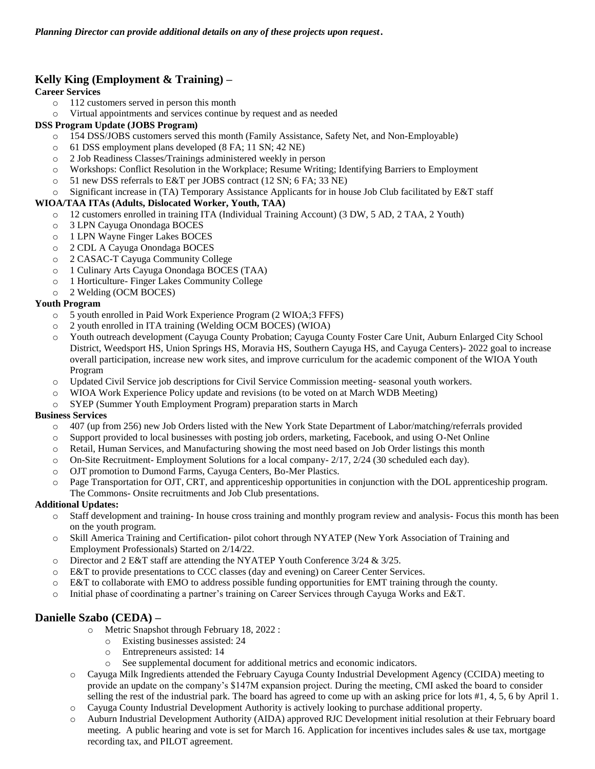# **Kelly King (Employment & Training) –**

# **Career Services**

- o 112 customers served in person this month
- o Virtual appointments and services continue by request and as needed

### **DSS Program Update (JOBS Program)**

- o 154 DSS/JOBS customers served this month (Family Assistance, Safety Net, and Non-Employable)
- o 61 DSS employment plans developed (8 FA; 11 SN; 42 NE)
- o 2 Job Readiness Classes/Trainings administered weekly in person
- o Workshops: Conflict Resolution in the Workplace; Resume Writing; Identifying Barriers to Employment
- o 51 new DSS referrals to E&T per JOBS contract (12 SN; 6 FA; 33 NE)
- o Significant increase in (TA) Temporary Assistance Applicants for in house Job Club facilitated by E&T staff

### **WIOA/TAA ITAs (Adults, Dislocated Worker, Youth, TAA)**

- o 12 customers enrolled in training ITA (Individual Training Account) (3 DW, 5 AD, 2 TAA, 2 Youth)
- o 3 LPN Cayuga Onondaga BOCES
- o 1 LPN Wayne Finger Lakes BOCES
- o 2 CDL A Cayuga Onondaga BOCES
- o 2 CASAC-T Cayuga Community College
- o 1 Culinary Arts Cayuga Onondaga BOCES (TAA)
- o 1 Horticulture- Finger Lakes Community College
- o 2 Welding (OCM BOCES)

### **Youth Program**

- o 5 youth enrolled in Paid Work Experience Program (2 WIOA;3 FFFS)
- o 2 youth enrolled in ITA training (Welding OCM BOCES) (WIOA)
- o Youth outreach development (Cayuga County Probation; Cayuga County Foster Care Unit, Auburn Enlarged City School District, Weedsport HS, Union Springs HS, Moravia HS, Southern Cayuga HS, and Cayuga Centers)- 2022 goal to increase overall participation, increase new work sites, and improve curriculum for the academic component of the WIOA Youth Program
- o Updated Civil Service job descriptions for Civil Service Commission meeting- seasonal youth workers.
- o WIOA Work Experience Policy update and revisions (to be voted on at March WDB Meeting)
- o SYEP (Summer Youth Employment Program) preparation starts in March

#### **Business Services**

- o 407 (up from 256) new Job Orders listed with the New York State Department of Labor/matching/referrals provided
- o Support provided to local businesses with posting job orders, marketing, Facebook, and using O-Net Online
- o Retail, Human Services, and Manufacturing showing the most need based on Job Order listings this month
- o On-Site Recruitment- Employment Solutions for a local company- 2/17, 2/24 (30 scheduled each day).
- o OJT promotion to Dumond Farms, Cayuga Centers, Bo-Mer Plastics.
- o Page Transportation for OJT, CRT, and apprenticeship opportunities in conjunction with the DOL apprenticeship program. The Commons- Onsite recruitments and Job Club presentations.

# **Additional Updates:**

- o Staff development and training- In house cross training and monthly program review and analysis- Focus this month has been on the youth program.
- o Skill America Training and Certification**-** pilot cohort through NYATEP (New York Association of Training and Employment Professionals) Started on 2/14/22.
- o Director and 2 E&T staff are attending the NYATEP Youth Conference 3/24 & 3/25.
- o E&T to provide presentations to CCC classes (day and evening) on Career Center Services.
- o E&T to collaborate with EMO to address possible funding opportunities for EMT training through the county.
- o Initial phase of coordinating a partner's training on Career Services through Cayuga Works and E&T.

# **Danielle Szabo (CEDA) –**

- o Metric Snapshot through February 18, 2022 :
	- o Existing businesses assisted: 24
	- o Entrepreneurs assisted: 14
	- o See supplemental document for additional metrics and economic indicators.
- o Cayuga Milk Ingredients attended the February Cayuga County Industrial Development Agency (CCIDA) meeting to provide an update on the company's \$147M expansion project. During the meeting, CMI asked the board to consider selling the rest of the industrial park. The board has agreed to come up with an asking price for lots #1, 4, 5, 6 by April 1.
- o Cayuga County Industrial Development Authority is actively looking to purchase additional property.
- o Auburn Industrial Development Authority (AIDA) approved RJC Development initial resolution at their February board meeting. A public hearing and vote is set for March 16. Application for incentives includes sales  $\&$  use tax, mortgage recording tax, and PILOT agreement.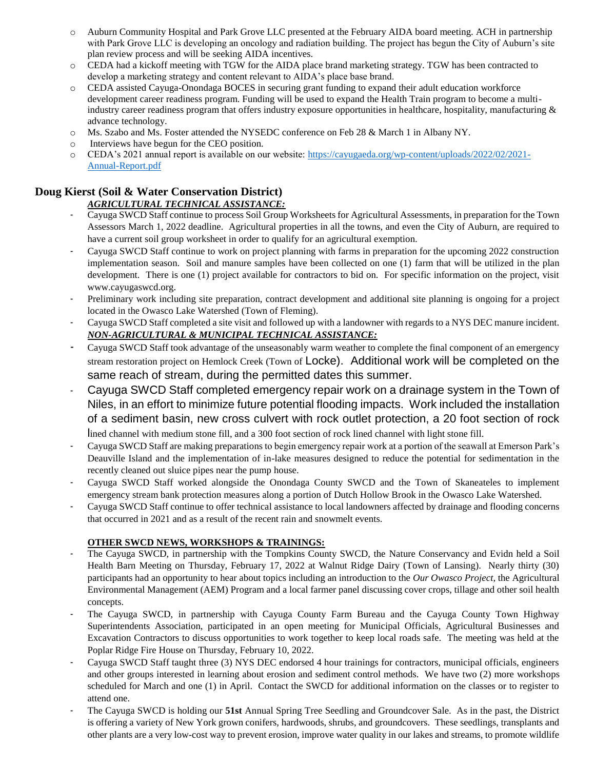- o Auburn Community Hospital and Park Grove LLC presented at the February AIDA board meeting. ACH in partnership with Park Grove LLC is developing an oncology and radiation building. The project has begun the City of Auburn's site plan review process and will be seeking AIDA incentives.
- o CEDA had a kickoff meeting with TGW for the AIDA place brand marketing strategy. TGW has been contracted to develop a marketing strategy and content relevant to AIDA's place base brand.
- o CEDA assisted Cayuga-Onondaga BOCES in securing grant funding to expand their adult education workforce development career readiness program. Funding will be used to expand the Health Train program to become a multiindustry career readiness program that offers industry exposure opportunities in healthcare, hospitality, manufacturing & advance technology.
- o Ms. Szabo and Ms. Foster attended the NYSEDC conference on Feb 28 & March 1 in Albany NY.
- o Interviews have begun for the CEO position.
- o CEDA's 2021 annual report is available on our website: [https://cayugaeda.org/wp-content/uploads/2022/02/2021-](https://cayugaeda.org/wp-content/uploads/2022/02/2021-Annual-Report.pdf) [Annual-Report.pdf](https://cayugaeda.org/wp-content/uploads/2022/02/2021-Annual-Report.pdf)

# **Doug Kierst (Soil & Water Conservation District)**

# *AGRICULTURAL TECHNICAL ASSISTANCE:*

- Cayuga SWCD Staff continue to process Soil Group Worksheets for Agricultural Assessments, in preparation for the Town Assessors March 1, 2022 deadline. Agricultural properties in all the towns, and even the City of Auburn, are required to have a current soil group worksheet in order to qualify for an agricultural exemption.
- Cayuga SWCD Staff continue to work on project planning with farms in preparation for the upcoming 2022 construction implementation season. Soil and manure samples have been collected on one (1) farm that will be utilized in the plan development. There is one (1) project available for contractors to bid on. For specific information on the project, visit www.cayugaswcd.org.
- Preliminary work including site preparation, contract development and additional site planning is ongoing for a project located in the Owasco Lake Watershed (Town of Fleming).
- Cayuga SWCD Staff completed a site visit and followed up with a landowner with regards to a NYS DEC manure incident. *NON-AGRICULTURAL & MUNICIPAL TECHNICAL ASSISTANCE:*
- Cayuga SWCD Staff took advantage of the unseasonably warm weather to complete the final component of an emergency stream restoration project on Hemlock Creek (Town of Locke). Additional work will be completed on the same reach of stream, during the permitted dates this summer.
- Cayuga SWCD Staff completed emergency repair work on a drainage system in the Town of Niles, in an effort to minimize future potential flooding impacts. Work included the installation of a sediment basin, new cross culvert with rock outlet protection, a 20 foot section of rock

lined channel with medium stone fill, and a 300 foot section of rock lined channel with light stone fill.

- Cayuga SWCD Staff are making preparations to begin emergency repair work at a portion of the seawall at Emerson Park's Deauville Island and the implementation of in-lake measures designed to reduce the potential for sedimentation in the recently cleaned out sluice pipes near the pump house.
- Cayuga SWCD Staff worked alongside the Onondaga County SWCD and the Town of Skaneateles to implement emergency stream bank protection measures along a portion of Dutch Hollow Brook in the Owasco Lake Watershed.
- Cayuga SWCD Staff continue to offer technical assistance to local landowners affected by drainage and flooding concerns that occurred in 2021 and as a result of the recent rain and snowmelt events.

# **OTHER SWCD NEWS, WORKSHOPS & TRAININGS:**

- The Cayuga SWCD, in partnership with the Tompkins County SWCD, the Nature Conservancy and Evidn held a Soil Health Barn Meeting on Thursday, February 17, 2022 at Walnut Ridge Dairy (Town of Lansing). Nearly thirty (30) participants had an opportunity to hear about topics including an introduction to the *Our Owasco Project*, the Agricultural Environmental Management (AEM) Program and a local farmer panel discussing cover crops, tillage and other soil health concepts.
- The Cayuga SWCD, in partnership with Cayuga County Farm Bureau and the Cayuga County Town Highway Superintendents Association, participated in an open meeting for Municipal Officials, Agricultural Businesses and Excavation Contractors to discuss opportunities to work together to keep local roads safe. The meeting was held at the Poplar Ridge Fire House on Thursday, February 10, 2022.
- Cayuga SWCD Staff taught three (3) NYS DEC endorsed 4 hour trainings for contractors, municipal officials, engineers and other groups interested in learning about erosion and sediment control methods. We have two (2) more workshops scheduled for March and one (1) in April. Contact the SWCD for additional information on the classes or to register to attend one.
- The Cayuga SWCD is holding our **51st** Annual Spring Tree Seedling and Groundcover Sale. As in the past, the District is offering a variety of New York grown conifers, hardwoods, shrubs, and groundcovers. These seedlings, transplants and other plants are a very low-cost way to prevent erosion, improve water quality in our lakes and streams, to promote wildlife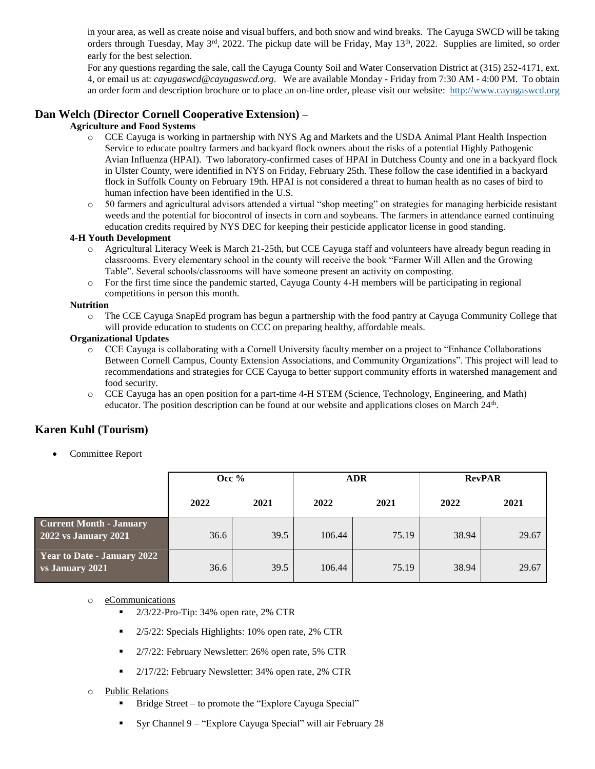in your area, as well as create noise and visual buffers, and both snow and wind breaks. The Cayuga SWCD will be taking orders through Tuesday, May  $3^{rd}$ , 2022. The pickup date will be Friday, May  $13^{th}$ , 2022. Supplies are limited, so order early for the best selection.

For any questions regarding the sale, call the Cayuga County Soil and Water Conservation District at (315) 252-4171, ext. 4, or email us at: *cayugaswcd@cayugaswcd.org*. We are available Monday - Friday from 7:30 AM - 4:00 PM. To obtain an order form and description brochure or to place an on-line order, please visit our website: [http://www.cayugaswcd.org](http://www.cayugaswcd.org/)

# **Dan Welch (Director Cornell Cooperative Extension) –**

### **Agriculture and Food Systems**

- o CCE Cayuga is working in partnership with NYS Ag and Markets and the USDA Animal Plant Health Inspection Service to educate poultry farmers and backyard flock owners about the risks of a potential Highly Pathogenic Avian Influenza (HPAI). Two laboratory-confirmed cases of HPAI in Dutchess County and one in a backyard flock in Ulster County, were identified in NYS on Friday, February 25th. These follow the case identified in a backyard flock in Suffolk County on February 19th. HPAI is not considered a threat to human health as no cases of bird to human infection have been identified in the U.S.
- o 50 farmers and agricultural advisors attended a virtual "shop meeting" on strategies for managing herbicide resistant weeds and the potential for biocontrol of insects in corn and soybeans. The farmers in attendance earned continuing education credits required by NYS DEC for keeping their pesticide applicator license in good standing.

#### **4-H Youth Development**

- o Agricultural Literacy Week is March 21-25th, but CCE Cayuga staff and volunteers have already begun reading in classrooms. Every elementary school in the county will receive the book "Farmer Will Allen and the Growing Table". Several schools/classrooms will have someone present an activity on composting.
- o For the first time since the pandemic started, Cayuga County 4-H members will be participating in regional competitions in person this month.

#### **Nutrition**

o The CCE Cayuga SnapEd program has begun a partnership with the food pantry at Cayuga Community College that will provide education to students on CCC on preparing healthy, affordable meals.

#### **Organizational Updates**

- o CCE Cayuga is collaborating with a Cornell University faculty member on a project to "Enhance Collaborations Between Cornell Campus, County Extension Associations, and Community Organizations". This project will lead to recommendations and strategies for CCE Cayuga to better support community efforts in watershed management and food security.
- o CCE Cayuga has an open position for a part-time 4-H STEM (Science, Technology, Engineering, and Math) educator. The position description can be found at our website and applications closes on March  $24<sup>th</sup>$ .

# **Karen Kuhl (Tourism)**

Committee Report

|                                                               | Occ $%$ |      | <b>ADR</b> |       | <b>RevPAR</b> |       |
|---------------------------------------------------------------|---------|------|------------|-------|---------------|-------|
|                                                               | 2022    | 2021 | 2022       | 2021  | 2022          | 2021  |
| <b>Current Month - January</b><br><b>2022 vs January 2021</b> | 36.6    | 39.5 | 106.44     | 75.19 | 38.94         | 29.67 |
| <b>Year to Date - January 2022</b><br>vs January 2021         | 36.6    | 39.5 | 106.44     | 75.19 | 38.94         | 29.67 |

#### o eCommunications

- $\blacksquare$  2/3/22-Pro-Tip: 34% open rate, 2% CTR
- 2/5/22: Specials Highlights: 10% open rate, 2% CTR
- 2/7/22: February Newsletter: 26% open rate, 5% CTR
- 2/17/22: February Newsletter: 34% open rate, 2% CTR

#### o Public Relations

- Bridge Street to promote the "Explore Cayuga Special"
- Syr Channel 9 "Explore Cayuga Special" will air February 28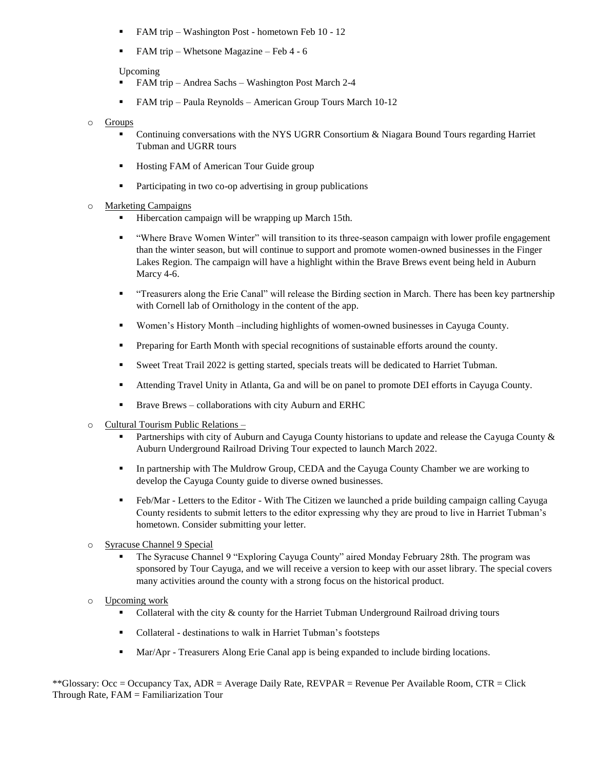- **FAM trip Washington Post hometown Feb 10 12**
- FAM trip Whetsone Magazine Feb 4 6

#### Upcoming

- FAM trip Andrea Sachs Washington Post March 2-4
- FAM trip Paula Reynolds American Group Tours March 10-12

#### o Groups

- Continuing conversations with the NYS UGRR Consortium & Niagara Bound Tours regarding Harriet Tubman and UGRR tours
- Hosting FAM of American Tour Guide group
- **•** Participating in two co-op advertising in group publications
- o Marketing Campaigns
	- Hibercation campaign will be wrapping up March 15th.
	- "Where Brave Women Winter" will transition to its three-season campaign with lower profile engagement than the winter season, but will continue to support and promote women-owned businesses in the Finger Lakes Region. The campaign will have a highlight within the Brave Brews event being held in Auburn Marcy 4-6.
	- "Treasurers along the Erie Canal" will release the Birding section in March. There has been key partnership with Cornell lab of Ornithology in the content of the app.
	- Women's History Month –including highlights of women-owned businesses in Cayuga County.
	- **Preparing for Earth Month with special recognitions of sustainable efforts around the county.**
	- Sweet Treat Trail 2022 is getting started, specials treats will be dedicated to Harriet Tubman.
	- Attending Travel Unity in Atlanta, Ga and will be on panel to promote DEI efforts in Cayuga County.
	- **Brave Brews** collaborations with city Auburn and ERHC
- o Cultural Tourism Public Relations
	- Partnerships with city of Auburn and Cayuga County historians to update and release the Cayuga County & Auburn Underground Railroad Driving Tour expected to launch March 2022.
	- In partnership with The Muldrow Group, CEDA and the Cayuga County Chamber we are working to develop the Cayuga County guide to diverse owned businesses.
	- Feb/Mar Letters to the Editor With The Citizen we launched a pride building campaign calling Cayuga County residents to submit letters to the editor expressing why they are proud to live in Harriet Tubman's hometown. Consider submitting your letter.
- o Syracuse Channel 9 Special
	- The Syracuse Channel 9 "Exploring Cayuga County" aired Monday February 28th. The program was sponsored by Tour Cayuga, and we will receive a version to keep with our asset library. The special covers many activities around the county with a strong focus on the historical product.
- o Upcoming work
	- Collateral with the city & county for the Harriet Tubman Underground Railroad driving tours
	- Collateral destinations to walk in Harriet Tubman's footsteps
	- Mar/Apr Treasurers Along Erie Canal app is being expanded to include birding locations.

\*\*Glossary: Occ = Occupancy Tax, ADR = Average Daily Rate, REVPAR = Revenue Per Available Room, CTR = Click Through Rate, FAM = Familiarization Tour